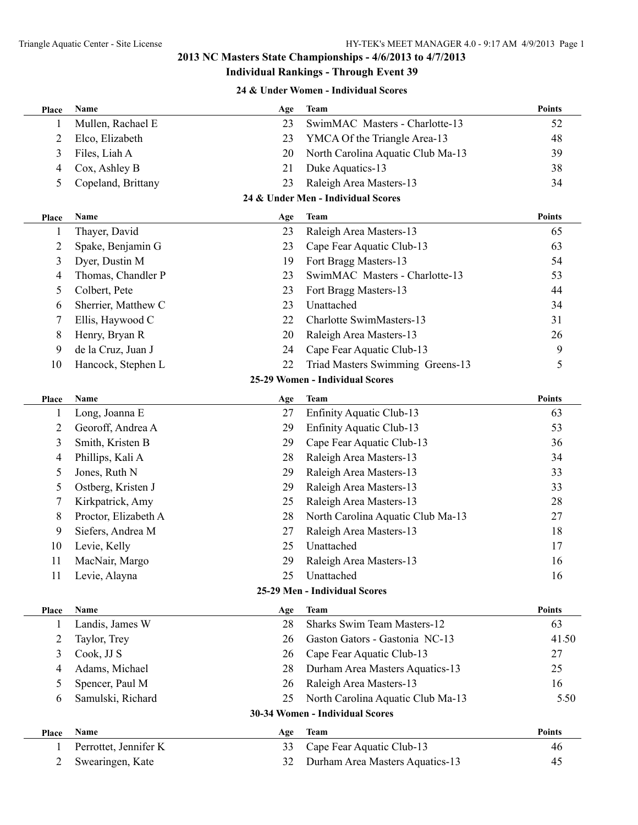## **Individual Rankings - Through Event 39**

**24 & Under Women - Individual Scores**

| Place | Name                               | Age | <b>Team</b>                        | <b>Points</b> |  |  |
|-------|------------------------------------|-----|------------------------------------|---------------|--|--|
| 1     | Mullen, Rachael E                  | 23  | SwimMAC Masters - Charlotte-13     | 52            |  |  |
| 2     | Elco, Elizabeth                    | 23  | YMCA Of the Triangle Area-13       | 48            |  |  |
| 3     | Files, Liah A                      | 20  | North Carolina Aquatic Club Ma-13  | 39            |  |  |
| 4     | Cox, Ashley B                      | 21  | Duke Aquatics-13                   | 38            |  |  |
| 5     | Copeland, Brittany                 | 23  | Raleigh Area Masters-13            | 34            |  |  |
|       | 24 & Under Men - Individual Scores |     |                                    |               |  |  |
| Place | Name                               | Age | <b>Team</b>                        | <b>Points</b> |  |  |
|       | Thayer, David                      | 23  | Raleigh Area Masters-13            | 65            |  |  |
| 2     | Spake, Benjamin G                  | 23  | Cape Fear Aquatic Club-13          | 63            |  |  |
| 3     | Dyer, Dustin M                     | 19  | Fort Bragg Masters-13              | 54            |  |  |
| 4     | Thomas, Chandler P                 | 23  | SwimMAC Masters - Charlotte-13     | 53            |  |  |
| 5     | Colbert, Pete                      | 23  | Fort Bragg Masters-13              | 44            |  |  |
| 6     | Sherrier, Matthew C                | 23  | Unattached                         | 34            |  |  |
| 7     | Ellis, Haywood C                   | 22  | Charlotte SwimMasters-13           | 31            |  |  |
| 8     | Henry, Bryan R                     | 20  | Raleigh Area Masters-13            | 26            |  |  |
| 9     | de la Cruz, Juan J                 | 24  | Cape Fear Aquatic Club-13          | 9             |  |  |
| 10    | Hancock, Stephen L                 | 22  | Triad Masters Swimming Greens-13   | 5             |  |  |
|       |                                    |     | 25-29 Women - Individual Scores    |               |  |  |
| Place | Name                               | Age | <b>Team</b>                        | <b>Points</b> |  |  |
| 1     | Long, Joanna E                     | 27  | <b>Enfinity Aquatic Club-13</b>    | 63            |  |  |
| 2     | Georoff, Andrea A                  | 29  | Enfinity Aquatic Club-13           | 53            |  |  |
| 3     | Smith, Kristen B                   | 29  | Cape Fear Aquatic Club-13          | 36            |  |  |
| 4     | Phillips, Kali A                   | 28  | Raleigh Area Masters-13            | 34            |  |  |
| 5     | Jones, Ruth N                      | 29  | Raleigh Area Masters-13            | 33            |  |  |
| 5     | Ostberg, Kristen J                 | 29  | Raleigh Area Masters-13            | 33            |  |  |
| 7     | Kirkpatrick, Amy                   | 25  | Raleigh Area Masters-13            | 28            |  |  |
| 8     | Proctor, Elizabeth A               | 28  | North Carolina Aquatic Club Ma-13  | 27            |  |  |
| 9     | Siefers, Andrea M                  | 27  | Raleigh Area Masters-13            | 18            |  |  |
| 10    | Levie, Kelly                       | 25  | Unattached                         | 17            |  |  |
| 11    | MacNair, Margo                     | 29  | Raleigh Area Masters-13            | 16            |  |  |
| 11    | Levie, Alayna                      | 25  | Unattached                         | 16            |  |  |
|       |                                    |     | 25-29 Men - Individual Scores      |               |  |  |
| Place | <b>Name</b>                        | Age | <b>Team</b>                        | <b>Points</b> |  |  |
| 1     | Landis, James W                    | 28  | <b>Sharks Swim Team Masters-12</b> | 63            |  |  |
| 2     | Taylor, Trey                       | 26  | Gaston Gators - Gastonia NC-13     | 41.50         |  |  |
| 3     | Cook, JJ S                         | 26  | Cape Fear Aquatic Club-13          | 27            |  |  |
| 4     | Adams, Michael                     | 28  | Durham Area Masters Aquatics-13    | 25            |  |  |
| 5     | Spencer, Paul M                    | 26  | Raleigh Area Masters-13            | 16            |  |  |
| 6     | Samulski, Richard                  | 25  | North Carolina Aquatic Club Ma-13  | 5.50          |  |  |
|       |                                    |     | 30-34 Women - Individual Scores    |               |  |  |
| Place | Name                               | Age | <b>Team</b>                        | <b>Points</b> |  |  |
| 1     | Perrottet, Jennifer K              | 33  | Cape Fear Aquatic Club-13          | 46            |  |  |
| 2     | Swearingen, Kate                   | 32  | Durham Area Masters Aquatics-13    | 45            |  |  |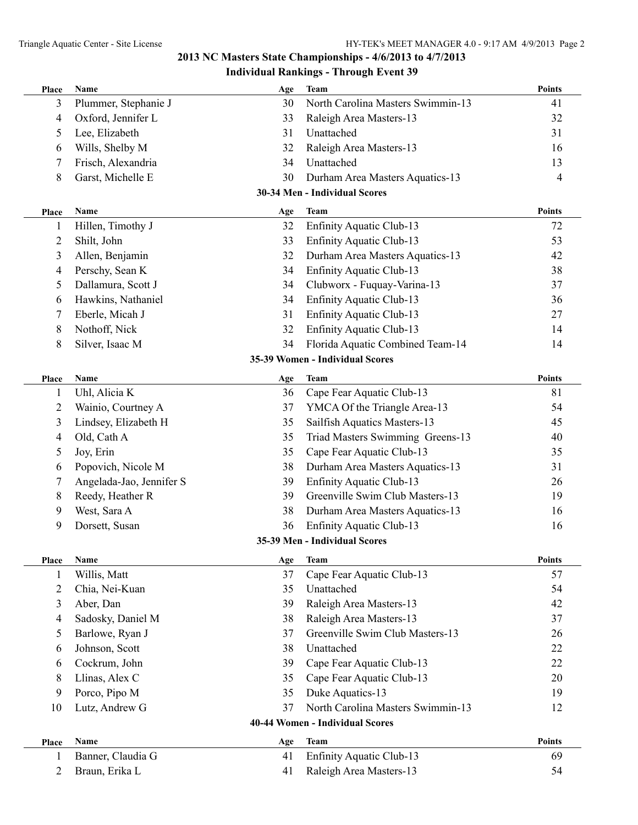### **Individual Rankings - Through Event 39**

| Plummer, Stephanie J<br>North Carolina Masters Swimmin-13<br>30<br>41<br>3<br>Oxford, Jennifer L<br>33<br>Raleigh Area Masters-13<br>32<br>4<br>Lee, Elizabeth<br>5<br>31<br>Unattached<br>31<br>Wills, Shelby M<br>32<br>Raleigh Area Masters-13<br>16<br>6<br>Frisch, Alexandria<br>34<br>Unattached<br>13<br>7<br>8<br>Garst, Michelle E<br>30<br>Durham Area Masters Aquatics-13<br>4<br>30-34 Men - Individual Scores<br><b>Points</b><br>Name<br><b>Team</b><br>Place<br>Age<br>Hillen, Timothy J<br>Enfinity Aquatic Club-13<br>32<br>1<br>72<br>Shilt, John<br>2<br>33<br>Enfinity Aquatic Club-13<br>53<br>32<br>42<br>3<br>Allen, Benjamin<br>Durham Area Masters Aquatics-13<br>Perschy, Sean K<br>Enfinity Aquatic Club-13<br>38<br>34<br>4<br>Dallamura, Scott J<br>37<br>34<br>Clubworx - Fuquay-Varina-13<br>5<br>Enfinity Aquatic Club-13<br>Hawkins, Nathaniel<br>34<br>36<br>6<br>Eberle, Micah J<br>Enfinity Aquatic Club-13<br>31<br>27<br>7<br>Nothoff, Nick<br>32<br>Enfinity Aquatic Club-13<br>8<br>14<br>34<br>Florida Aquatic Combined Team-14<br>8<br>Silver, Isaac M<br>14<br>35-39 Women - Individual Scores<br><b>Points</b><br>Name<br><b>Team</b><br>Place<br>Age<br>36<br>Uhl, Alicia K<br>Cape Fear Aquatic Club-13<br>81<br>1<br>YMCA Of the Triangle Area-13<br>2<br>Wainio, Courtney A<br>37<br>54<br>Lindsey, Elizabeth H<br>Sailfish Aquatics Masters-13<br>3<br>35<br>45<br>Old, Cath A<br>35<br>Triad Masters Swimming Greens-13<br>40<br>4<br>Joy, Erin<br>35<br>Cape Fear Aquatic Club-13<br>35<br>5<br>Popovich, Nicole M<br>38<br>Durham Area Masters Aquatics-13<br>31<br>6<br>Enfinity Aquatic Club-13<br>Angelada-Jao, Jennifer S<br>39<br>26<br>7<br>Greenville Swim Club Masters-13<br>Reedy, Heather R<br>39<br>19<br>8<br>West, Sara A<br>38<br>Durham Area Masters Aquatics-13<br>9<br>16<br>Enfinity Aquatic Club-13<br>9<br>Dorsett, Susan<br>36<br>16<br>35-39 Men - Individual Scores<br><b>Points</b><br>Name<br><b>Team</b><br>Age<br>Place<br>37<br>Cape Fear Aquatic Club-13<br>Willis, Matt<br>57<br>1<br>Chia, Nei-Kuan<br>Unattached<br>2<br>35<br>54<br>Aber, Dan<br>Raleigh Area Masters-13<br>3<br>39<br>42<br>Sadosky, Daniel M<br>Raleigh Area Masters-13<br>38<br>37<br>4<br>Barlowe, Ryan J<br>Greenville Swim Club Masters-13<br>37<br>26<br>5<br>Johnson, Scott<br>38<br>Unattached<br>22<br>6<br>Cockrum, John<br>22<br>39<br>Cape Fear Aquatic Club-13<br>6<br>Llinas, Alex C<br>Cape Fear Aquatic Club-13<br>20<br>8<br>35<br>Porco, Pipo M<br>Duke Aquatics-13<br>9<br>35<br>19<br>North Carolina Masters Swimmin-13<br>Lutz, Andrew G<br>37<br>12<br>10<br>40-44 Women - Individual Scores<br><b>Points</b><br><b>Name</b><br><b>Team</b><br>Place<br>Age<br>Banner, Claudia G<br>Enfinity Aquatic Club-13<br>41<br>69<br>1<br>Braun, Erika L<br>Raleigh Area Masters-13<br>2<br>54<br>41 | Place | Name | Age | Team | <b>Points</b> |
|-------------------------------------------------------------------------------------------------------------------------------------------------------------------------------------------------------------------------------------------------------------------------------------------------------------------------------------------------------------------------------------------------------------------------------------------------------------------------------------------------------------------------------------------------------------------------------------------------------------------------------------------------------------------------------------------------------------------------------------------------------------------------------------------------------------------------------------------------------------------------------------------------------------------------------------------------------------------------------------------------------------------------------------------------------------------------------------------------------------------------------------------------------------------------------------------------------------------------------------------------------------------------------------------------------------------------------------------------------------------------------------------------------------------------------------------------------------------------------------------------------------------------------------------------------------------------------------------------------------------------------------------------------------------------------------------------------------------------------------------------------------------------------------------------------------------------------------------------------------------------------------------------------------------------------------------------------------------------------------------------------------------------------------------------------------------------------------------------------------------------------------------------------------------------------------------------------------------------------------------------------------------------------------------------------------------------------------------------------------------------------------------------------------------------------------------------------------------------------------------------------------------------------------------------------------------------------------------------------------------------------------------------------------------------------------------------------------------------------------------------------------------------------------------------------------------------------------------------------------------------|-------|------|-----|------|---------------|
|                                                                                                                                                                                                                                                                                                                                                                                                                                                                                                                                                                                                                                                                                                                                                                                                                                                                                                                                                                                                                                                                                                                                                                                                                                                                                                                                                                                                                                                                                                                                                                                                                                                                                                                                                                                                                                                                                                                                                                                                                                                                                                                                                                                                                                                                                                                                                                                                                                                                                                                                                                                                                                                                                                                                                                                                                                                                         |       |      |     |      |               |
|                                                                                                                                                                                                                                                                                                                                                                                                                                                                                                                                                                                                                                                                                                                                                                                                                                                                                                                                                                                                                                                                                                                                                                                                                                                                                                                                                                                                                                                                                                                                                                                                                                                                                                                                                                                                                                                                                                                                                                                                                                                                                                                                                                                                                                                                                                                                                                                                                                                                                                                                                                                                                                                                                                                                                                                                                                                                         |       |      |     |      |               |
|                                                                                                                                                                                                                                                                                                                                                                                                                                                                                                                                                                                                                                                                                                                                                                                                                                                                                                                                                                                                                                                                                                                                                                                                                                                                                                                                                                                                                                                                                                                                                                                                                                                                                                                                                                                                                                                                                                                                                                                                                                                                                                                                                                                                                                                                                                                                                                                                                                                                                                                                                                                                                                                                                                                                                                                                                                                                         |       |      |     |      |               |
|                                                                                                                                                                                                                                                                                                                                                                                                                                                                                                                                                                                                                                                                                                                                                                                                                                                                                                                                                                                                                                                                                                                                                                                                                                                                                                                                                                                                                                                                                                                                                                                                                                                                                                                                                                                                                                                                                                                                                                                                                                                                                                                                                                                                                                                                                                                                                                                                                                                                                                                                                                                                                                                                                                                                                                                                                                                                         |       |      |     |      |               |
|                                                                                                                                                                                                                                                                                                                                                                                                                                                                                                                                                                                                                                                                                                                                                                                                                                                                                                                                                                                                                                                                                                                                                                                                                                                                                                                                                                                                                                                                                                                                                                                                                                                                                                                                                                                                                                                                                                                                                                                                                                                                                                                                                                                                                                                                                                                                                                                                                                                                                                                                                                                                                                                                                                                                                                                                                                                                         |       |      |     |      |               |
|                                                                                                                                                                                                                                                                                                                                                                                                                                                                                                                                                                                                                                                                                                                                                                                                                                                                                                                                                                                                                                                                                                                                                                                                                                                                                                                                                                                                                                                                                                                                                                                                                                                                                                                                                                                                                                                                                                                                                                                                                                                                                                                                                                                                                                                                                                                                                                                                                                                                                                                                                                                                                                                                                                                                                                                                                                                                         |       |      |     |      |               |
|                                                                                                                                                                                                                                                                                                                                                                                                                                                                                                                                                                                                                                                                                                                                                                                                                                                                                                                                                                                                                                                                                                                                                                                                                                                                                                                                                                                                                                                                                                                                                                                                                                                                                                                                                                                                                                                                                                                                                                                                                                                                                                                                                                                                                                                                                                                                                                                                                                                                                                                                                                                                                                                                                                                                                                                                                                                                         |       |      |     |      |               |
|                                                                                                                                                                                                                                                                                                                                                                                                                                                                                                                                                                                                                                                                                                                                                                                                                                                                                                                                                                                                                                                                                                                                                                                                                                                                                                                                                                                                                                                                                                                                                                                                                                                                                                                                                                                                                                                                                                                                                                                                                                                                                                                                                                                                                                                                                                                                                                                                                                                                                                                                                                                                                                                                                                                                                                                                                                                                         |       |      |     |      |               |
|                                                                                                                                                                                                                                                                                                                                                                                                                                                                                                                                                                                                                                                                                                                                                                                                                                                                                                                                                                                                                                                                                                                                                                                                                                                                                                                                                                                                                                                                                                                                                                                                                                                                                                                                                                                                                                                                                                                                                                                                                                                                                                                                                                                                                                                                                                                                                                                                                                                                                                                                                                                                                                                                                                                                                                                                                                                                         |       |      |     |      |               |
|                                                                                                                                                                                                                                                                                                                                                                                                                                                                                                                                                                                                                                                                                                                                                                                                                                                                                                                                                                                                                                                                                                                                                                                                                                                                                                                                                                                                                                                                                                                                                                                                                                                                                                                                                                                                                                                                                                                                                                                                                                                                                                                                                                                                                                                                                                                                                                                                                                                                                                                                                                                                                                                                                                                                                                                                                                                                         |       |      |     |      |               |
|                                                                                                                                                                                                                                                                                                                                                                                                                                                                                                                                                                                                                                                                                                                                                                                                                                                                                                                                                                                                                                                                                                                                                                                                                                                                                                                                                                                                                                                                                                                                                                                                                                                                                                                                                                                                                                                                                                                                                                                                                                                                                                                                                                                                                                                                                                                                                                                                                                                                                                                                                                                                                                                                                                                                                                                                                                                                         |       |      |     |      |               |
|                                                                                                                                                                                                                                                                                                                                                                                                                                                                                                                                                                                                                                                                                                                                                                                                                                                                                                                                                                                                                                                                                                                                                                                                                                                                                                                                                                                                                                                                                                                                                                                                                                                                                                                                                                                                                                                                                                                                                                                                                                                                                                                                                                                                                                                                                                                                                                                                                                                                                                                                                                                                                                                                                                                                                                                                                                                                         |       |      |     |      |               |
|                                                                                                                                                                                                                                                                                                                                                                                                                                                                                                                                                                                                                                                                                                                                                                                                                                                                                                                                                                                                                                                                                                                                                                                                                                                                                                                                                                                                                                                                                                                                                                                                                                                                                                                                                                                                                                                                                                                                                                                                                                                                                                                                                                                                                                                                                                                                                                                                                                                                                                                                                                                                                                                                                                                                                                                                                                                                         |       |      |     |      |               |
|                                                                                                                                                                                                                                                                                                                                                                                                                                                                                                                                                                                                                                                                                                                                                                                                                                                                                                                                                                                                                                                                                                                                                                                                                                                                                                                                                                                                                                                                                                                                                                                                                                                                                                                                                                                                                                                                                                                                                                                                                                                                                                                                                                                                                                                                                                                                                                                                                                                                                                                                                                                                                                                                                                                                                                                                                                                                         |       |      |     |      |               |
|                                                                                                                                                                                                                                                                                                                                                                                                                                                                                                                                                                                                                                                                                                                                                                                                                                                                                                                                                                                                                                                                                                                                                                                                                                                                                                                                                                                                                                                                                                                                                                                                                                                                                                                                                                                                                                                                                                                                                                                                                                                                                                                                                                                                                                                                                                                                                                                                                                                                                                                                                                                                                                                                                                                                                                                                                                                                         |       |      |     |      |               |
|                                                                                                                                                                                                                                                                                                                                                                                                                                                                                                                                                                                                                                                                                                                                                                                                                                                                                                                                                                                                                                                                                                                                                                                                                                                                                                                                                                                                                                                                                                                                                                                                                                                                                                                                                                                                                                                                                                                                                                                                                                                                                                                                                                                                                                                                                                                                                                                                                                                                                                                                                                                                                                                                                                                                                                                                                                                                         |       |      |     |      |               |
|                                                                                                                                                                                                                                                                                                                                                                                                                                                                                                                                                                                                                                                                                                                                                                                                                                                                                                                                                                                                                                                                                                                                                                                                                                                                                                                                                                                                                                                                                                                                                                                                                                                                                                                                                                                                                                                                                                                                                                                                                                                                                                                                                                                                                                                                                                                                                                                                                                                                                                                                                                                                                                                                                                                                                                                                                                                                         |       |      |     |      |               |
|                                                                                                                                                                                                                                                                                                                                                                                                                                                                                                                                                                                                                                                                                                                                                                                                                                                                                                                                                                                                                                                                                                                                                                                                                                                                                                                                                                                                                                                                                                                                                                                                                                                                                                                                                                                                                                                                                                                                                                                                                                                                                                                                                                                                                                                                                                                                                                                                                                                                                                                                                                                                                                                                                                                                                                                                                                                                         |       |      |     |      |               |
|                                                                                                                                                                                                                                                                                                                                                                                                                                                                                                                                                                                                                                                                                                                                                                                                                                                                                                                                                                                                                                                                                                                                                                                                                                                                                                                                                                                                                                                                                                                                                                                                                                                                                                                                                                                                                                                                                                                                                                                                                                                                                                                                                                                                                                                                                                                                                                                                                                                                                                                                                                                                                                                                                                                                                                                                                                                                         |       |      |     |      |               |
|                                                                                                                                                                                                                                                                                                                                                                                                                                                                                                                                                                                                                                                                                                                                                                                                                                                                                                                                                                                                                                                                                                                                                                                                                                                                                                                                                                                                                                                                                                                                                                                                                                                                                                                                                                                                                                                                                                                                                                                                                                                                                                                                                                                                                                                                                                                                                                                                                                                                                                                                                                                                                                                                                                                                                                                                                                                                         |       |      |     |      |               |
|                                                                                                                                                                                                                                                                                                                                                                                                                                                                                                                                                                                                                                                                                                                                                                                                                                                                                                                                                                                                                                                                                                                                                                                                                                                                                                                                                                                                                                                                                                                                                                                                                                                                                                                                                                                                                                                                                                                                                                                                                                                                                                                                                                                                                                                                                                                                                                                                                                                                                                                                                                                                                                                                                                                                                                                                                                                                         |       |      |     |      |               |
|                                                                                                                                                                                                                                                                                                                                                                                                                                                                                                                                                                                                                                                                                                                                                                                                                                                                                                                                                                                                                                                                                                                                                                                                                                                                                                                                                                                                                                                                                                                                                                                                                                                                                                                                                                                                                                                                                                                                                                                                                                                                                                                                                                                                                                                                                                                                                                                                                                                                                                                                                                                                                                                                                                                                                                                                                                                                         |       |      |     |      |               |
|                                                                                                                                                                                                                                                                                                                                                                                                                                                                                                                                                                                                                                                                                                                                                                                                                                                                                                                                                                                                                                                                                                                                                                                                                                                                                                                                                                                                                                                                                                                                                                                                                                                                                                                                                                                                                                                                                                                                                                                                                                                                                                                                                                                                                                                                                                                                                                                                                                                                                                                                                                                                                                                                                                                                                                                                                                                                         |       |      |     |      |               |
|                                                                                                                                                                                                                                                                                                                                                                                                                                                                                                                                                                                                                                                                                                                                                                                                                                                                                                                                                                                                                                                                                                                                                                                                                                                                                                                                                                                                                                                                                                                                                                                                                                                                                                                                                                                                                                                                                                                                                                                                                                                                                                                                                                                                                                                                                                                                                                                                                                                                                                                                                                                                                                                                                                                                                                                                                                                                         |       |      |     |      |               |
|                                                                                                                                                                                                                                                                                                                                                                                                                                                                                                                                                                                                                                                                                                                                                                                                                                                                                                                                                                                                                                                                                                                                                                                                                                                                                                                                                                                                                                                                                                                                                                                                                                                                                                                                                                                                                                                                                                                                                                                                                                                                                                                                                                                                                                                                                                                                                                                                                                                                                                                                                                                                                                                                                                                                                                                                                                                                         |       |      |     |      |               |
|                                                                                                                                                                                                                                                                                                                                                                                                                                                                                                                                                                                                                                                                                                                                                                                                                                                                                                                                                                                                                                                                                                                                                                                                                                                                                                                                                                                                                                                                                                                                                                                                                                                                                                                                                                                                                                                                                                                                                                                                                                                                                                                                                                                                                                                                                                                                                                                                                                                                                                                                                                                                                                                                                                                                                                                                                                                                         |       |      |     |      |               |
|                                                                                                                                                                                                                                                                                                                                                                                                                                                                                                                                                                                                                                                                                                                                                                                                                                                                                                                                                                                                                                                                                                                                                                                                                                                                                                                                                                                                                                                                                                                                                                                                                                                                                                                                                                                                                                                                                                                                                                                                                                                                                                                                                                                                                                                                                                                                                                                                                                                                                                                                                                                                                                                                                                                                                                                                                                                                         |       |      |     |      |               |
|                                                                                                                                                                                                                                                                                                                                                                                                                                                                                                                                                                                                                                                                                                                                                                                                                                                                                                                                                                                                                                                                                                                                                                                                                                                                                                                                                                                                                                                                                                                                                                                                                                                                                                                                                                                                                                                                                                                                                                                                                                                                                                                                                                                                                                                                                                                                                                                                                                                                                                                                                                                                                                                                                                                                                                                                                                                                         |       |      |     |      |               |
|                                                                                                                                                                                                                                                                                                                                                                                                                                                                                                                                                                                                                                                                                                                                                                                                                                                                                                                                                                                                                                                                                                                                                                                                                                                                                                                                                                                                                                                                                                                                                                                                                                                                                                                                                                                                                                                                                                                                                                                                                                                                                                                                                                                                                                                                                                                                                                                                                                                                                                                                                                                                                                                                                                                                                                                                                                                                         |       |      |     |      |               |
|                                                                                                                                                                                                                                                                                                                                                                                                                                                                                                                                                                                                                                                                                                                                                                                                                                                                                                                                                                                                                                                                                                                                                                                                                                                                                                                                                                                                                                                                                                                                                                                                                                                                                                                                                                                                                                                                                                                                                                                                                                                                                                                                                                                                                                                                                                                                                                                                                                                                                                                                                                                                                                                                                                                                                                                                                                                                         |       |      |     |      |               |
|                                                                                                                                                                                                                                                                                                                                                                                                                                                                                                                                                                                                                                                                                                                                                                                                                                                                                                                                                                                                                                                                                                                                                                                                                                                                                                                                                                                                                                                                                                                                                                                                                                                                                                                                                                                                                                                                                                                                                                                                                                                                                                                                                                                                                                                                                                                                                                                                                                                                                                                                                                                                                                                                                                                                                                                                                                                                         |       |      |     |      |               |
|                                                                                                                                                                                                                                                                                                                                                                                                                                                                                                                                                                                                                                                                                                                                                                                                                                                                                                                                                                                                                                                                                                                                                                                                                                                                                                                                                                                                                                                                                                                                                                                                                                                                                                                                                                                                                                                                                                                                                                                                                                                                                                                                                                                                                                                                                                                                                                                                                                                                                                                                                                                                                                                                                                                                                                                                                                                                         |       |      |     |      |               |
|                                                                                                                                                                                                                                                                                                                                                                                                                                                                                                                                                                                                                                                                                                                                                                                                                                                                                                                                                                                                                                                                                                                                                                                                                                                                                                                                                                                                                                                                                                                                                                                                                                                                                                                                                                                                                                                                                                                                                                                                                                                                                                                                                                                                                                                                                                                                                                                                                                                                                                                                                                                                                                                                                                                                                                                                                                                                         |       |      |     |      |               |
|                                                                                                                                                                                                                                                                                                                                                                                                                                                                                                                                                                                                                                                                                                                                                                                                                                                                                                                                                                                                                                                                                                                                                                                                                                                                                                                                                                                                                                                                                                                                                                                                                                                                                                                                                                                                                                                                                                                                                                                                                                                                                                                                                                                                                                                                                                                                                                                                                                                                                                                                                                                                                                                                                                                                                                                                                                                                         |       |      |     |      |               |
|                                                                                                                                                                                                                                                                                                                                                                                                                                                                                                                                                                                                                                                                                                                                                                                                                                                                                                                                                                                                                                                                                                                                                                                                                                                                                                                                                                                                                                                                                                                                                                                                                                                                                                                                                                                                                                                                                                                                                                                                                                                                                                                                                                                                                                                                                                                                                                                                                                                                                                                                                                                                                                                                                                                                                                                                                                                                         |       |      |     |      |               |
|                                                                                                                                                                                                                                                                                                                                                                                                                                                                                                                                                                                                                                                                                                                                                                                                                                                                                                                                                                                                                                                                                                                                                                                                                                                                                                                                                                                                                                                                                                                                                                                                                                                                                                                                                                                                                                                                                                                                                                                                                                                                                                                                                                                                                                                                                                                                                                                                                                                                                                                                                                                                                                                                                                                                                                                                                                                                         |       |      |     |      |               |
|                                                                                                                                                                                                                                                                                                                                                                                                                                                                                                                                                                                                                                                                                                                                                                                                                                                                                                                                                                                                                                                                                                                                                                                                                                                                                                                                                                                                                                                                                                                                                                                                                                                                                                                                                                                                                                                                                                                                                                                                                                                                                                                                                                                                                                                                                                                                                                                                                                                                                                                                                                                                                                                                                                                                                                                                                                                                         |       |      |     |      |               |
|                                                                                                                                                                                                                                                                                                                                                                                                                                                                                                                                                                                                                                                                                                                                                                                                                                                                                                                                                                                                                                                                                                                                                                                                                                                                                                                                                                                                                                                                                                                                                                                                                                                                                                                                                                                                                                                                                                                                                                                                                                                                                                                                                                                                                                                                                                                                                                                                                                                                                                                                                                                                                                                                                                                                                                                                                                                                         |       |      |     |      |               |
|                                                                                                                                                                                                                                                                                                                                                                                                                                                                                                                                                                                                                                                                                                                                                                                                                                                                                                                                                                                                                                                                                                                                                                                                                                                                                                                                                                                                                                                                                                                                                                                                                                                                                                                                                                                                                                                                                                                                                                                                                                                                                                                                                                                                                                                                                                                                                                                                                                                                                                                                                                                                                                                                                                                                                                                                                                                                         |       |      |     |      |               |
|                                                                                                                                                                                                                                                                                                                                                                                                                                                                                                                                                                                                                                                                                                                                                                                                                                                                                                                                                                                                                                                                                                                                                                                                                                                                                                                                                                                                                                                                                                                                                                                                                                                                                                                                                                                                                                                                                                                                                                                                                                                                                                                                                                                                                                                                                                                                                                                                                                                                                                                                                                                                                                                                                                                                                                                                                                                                         |       |      |     |      |               |
|                                                                                                                                                                                                                                                                                                                                                                                                                                                                                                                                                                                                                                                                                                                                                                                                                                                                                                                                                                                                                                                                                                                                                                                                                                                                                                                                                                                                                                                                                                                                                                                                                                                                                                                                                                                                                                                                                                                                                                                                                                                                                                                                                                                                                                                                                                                                                                                                                                                                                                                                                                                                                                                                                                                                                                                                                                                                         |       |      |     |      |               |
|                                                                                                                                                                                                                                                                                                                                                                                                                                                                                                                                                                                                                                                                                                                                                                                                                                                                                                                                                                                                                                                                                                                                                                                                                                                                                                                                                                                                                                                                                                                                                                                                                                                                                                                                                                                                                                                                                                                                                                                                                                                                                                                                                                                                                                                                                                                                                                                                                                                                                                                                                                                                                                                                                                                                                                                                                                                                         |       |      |     |      |               |
|                                                                                                                                                                                                                                                                                                                                                                                                                                                                                                                                                                                                                                                                                                                                                                                                                                                                                                                                                                                                                                                                                                                                                                                                                                                                                                                                                                                                                                                                                                                                                                                                                                                                                                                                                                                                                                                                                                                                                                                                                                                                                                                                                                                                                                                                                                                                                                                                                                                                                                                                                                                                                                                                                                                                                                                                                                                                         |       |      |     |      |               |
|                                                                                                                                                                                                                                                                                                                                                                                                                                                                                                                                                                                                                                                                                                                                                                                                                                                                                                                                                                                                                                                                                                                                                                                                                                                                                                                                                                                                                                                                                                                                                                                                                                                                                                                                                                                                                                                                                                                                                                                                                                                                                                                                                                                                                                                                                                                                                                                                                                                                                                                                                                                                                                                                                                                                                                                                                                                                         |       |      |     |      |               |
|                                                                                                                                                                                                                                                                                                                                                                                                                                                                                                                                                                                                                                                                                                                                                                                                                                                                                                                                                                                                                                                                                                                                                                                                                                                                                                                                                                                                                                                                                                                                                                                                                                                                                                                                                                                                                                                                                                                                                                                                                                                                                                                                                                                                                                                                                                                                                                                                                                                                                                                                                                                                                                                                                                                                                                                                                                                                         |       |      |     |      |               |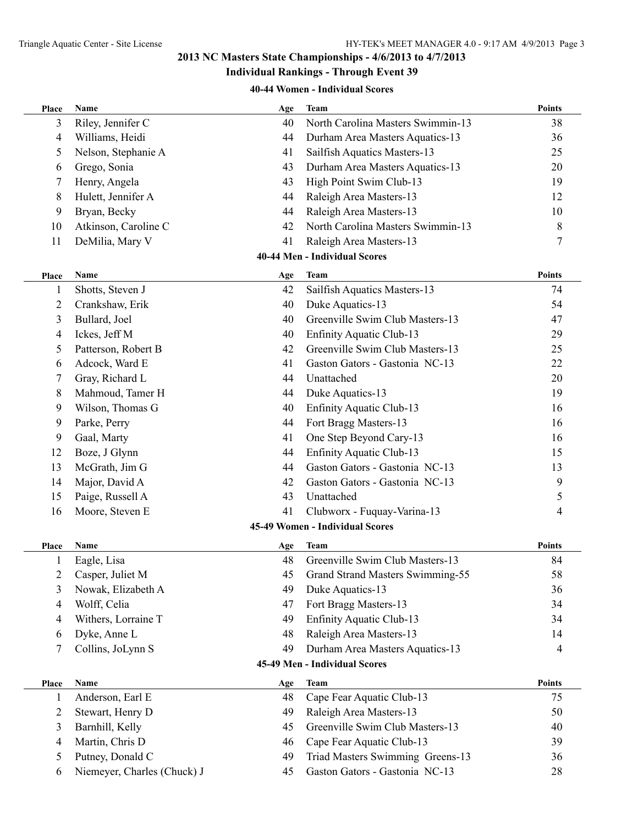#### **Individual Rankings - Through Event 39**

#### **40-44 Women - Individual Scores**

| Place          | Name                        | Age | <b>Team</b>                       | <b>Points</b> |
|----------------|-----------------------------|-----|-----------------------------------|---------------|
| 3              | Riley, Jennifer C           | 40  | North Carolina Masters Swimmin-13 | 38            |
| 4              | Williams, Heidi             | 44  | Durham Area Masters Aquatics-13   | 36            |
| 5              | Nelson, Stephanie A         | 41  | Sailfish Aquatics Masters-13      | 25            |
| 6              | Grego, Sonia                | 43  | Durham Area Masters Aquatics-13   | 20            |
| 7              | Henry, Angela               | 43  | High Point Swim Club-13           | 19            |
| 8              | Hulett, Jennifer A          | 44  | Raleigh Area Masters-13           | 12            |
| 9              | Bryan, Becky                | 44  | Raleigh Area Masters-13           | 10            |
| 10             | Atkinson, Caroline C        | 42  | North Carolina Masters Swimmin-13 | 8             |
| 11             | DeMilia, Mary V             | 41  | Raleigh Area Masters-13           | 7             |
|                |                             |     | 40-44 Men - Individual Scores     |               |
| <b>Place</b>   | Name                        | Age | <b>Team</b>                       | <b>Points</b> |
| $\mathbf{1}$   | Shotts, Steven J            | 42  | Sailfish Aquatics Masters-13      | 74            |
| $\overline{2}$ | Crankshaw, Erik             | 40  | Duke Aquatics-13                  | 54            |
| 3              | Bullard, Joel               | 40  | Greenville Swim Club Masters-13   | 47            |
| 4              | Ickes, Jeff M               | 40  | Enfinity Aquatic Club-13          | 29            |
| 5              | Patterson, Robert B         | 42  | Greenville Swim Club Masters-13   | 25            |
| 6              | Adcock, Ward E              | 41  | Gaston Gators - Gastonia NC-13    | 22            |
| 7              | Gray, Richard L             | 44  | Unattached                        | 20            |
| 8              | Mahmoud, Tamer H            | 44  | Duke Aquatics-13                  | 19            |
| 9              | Wilson, Thomas G            | 40  | Enfinity Aquatic Club-13          | 16            |
| 9              | Parke, Perry                | 44  | Fort Bragg Masters-13             | 16            |
| 9              | Gaal, Marty                 | 41  | One Step Beyond Cary-13           | 16            |
| 12             | Boze, J Glynn               | 44  | Enfinity Aquatic Club-13          | 15            |
| 13             | McGrath, Jim G              | 44  | Gaston Gators - Gastonia NC-13    | 13            |
| 14             | Major, David A              | 42  | Gaston Gators - Gastonia NC-13    | 9             |
| 15             | Paige, Russell A            | 43  | Unattached                        | 5             |
| 16             | Moore, Steven E             | 41  | Clubworx - Fuquay-Varina-13       | 4             |
|                |                             |     | 45-49 Women - Individual Scores   |               |
| <b>Place</b>   | Name                        | Age | <b>Team</b>                       | <b>Points</b> |
| 1              | Eagle, Lisa                 | 48  | Greenville Swim Club Masters-13   | 84            |
| $\overline{2}$ | Casper, Juliet M            | 45  | Grand Strand Masters Swimming-55  | 58            |
| 3              | Nowak, Elizabeth A          | 49  | Duke Aquatics-13                  | 36            |
| 4              | Wolff, Celia                | 47  | Fort Bragg Masters-13             | 34            |
| 4              | Withers, Lorraine T         | 49  | Enfinity Aquatic Club-13          | 34            |
| 6              | Dyke, Anne L                | 48  | Raleigh Area Masters-13           | 14            |
| 7              | Collins, JoLynn S           | 49  | Durham Area Masters Aquatics-13   | 4             |
|                |                             |     | 45-49 Men - Individual Scores     |               |
| Place          | Name                        | Age | <b>Team</b>                       | <b>Points</b> |
| $\mathbf{1}$   | Anderson, Earl E            | 48  | Cape Fear Aquatic Club-13         | 75            |
| 2              | Stewart, Henry D            | 49  | Raleigh Area Masters-13           | 50            |
| 3              | Barnhill, Kelly             | 45  | Greenville Swim Club Masters-13   | 40            |
| 4              | Martin, Chris D             | 46  | Cape Fear Aquatic Club-13         | 39            |
| 5              | Putney, Donald C            | 49  | Triad Masters Swimming Greens-13  | 36            |
| 6              | Niemeyer, Charles (Chuck) J | 45  | Gaston Gators - Gastonia NC-13    | 28            |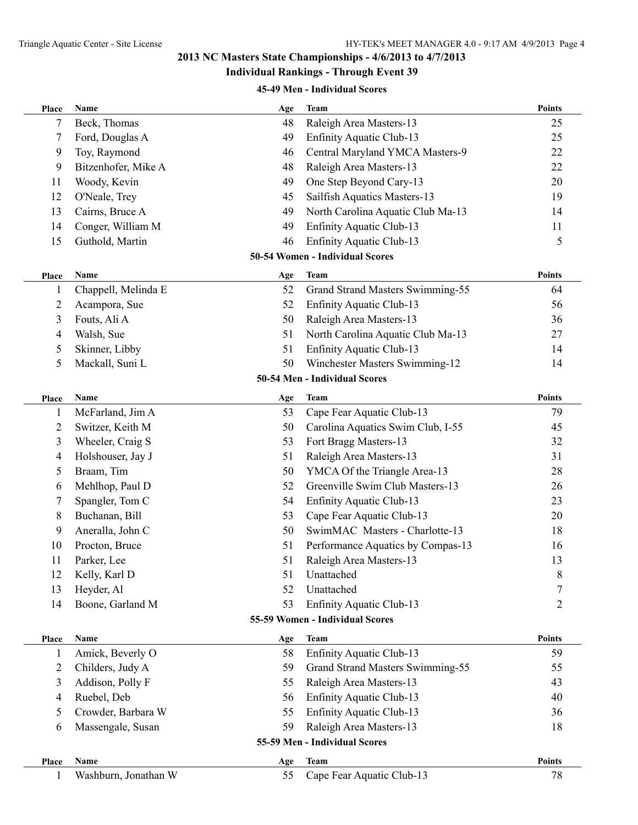#### **Individual Rankings - Through Event 39**

#### **45-49 Men - Individual Scores**

| Beck, Thomas<br>48<br>Raleigh Area Masters-13<br>7<br>Ford, Douglas A<br>Enfinity Aquatic Club-13<br>49<br>7<br>Toy, Raymond<br>Central Maryland YMCA Masters-9<br>9<br>46<br>Raleigh Area Masters-13<br>9<br>Bitzenhofer, Mike A<br>48<br>Woody, Kevin<br>One Step Beyond Cary-13<br>49<br>11<br>Sailfish Aquatics Masters-13<br>O'Neale, Trey<br>45<br>12 | 25<br>25<br>22<br>22<br>20<br>19<br>14 |
|-------------------------------------------------------------------------------------------------------------------------------------------------------------------------------------------------------------------------------------------------------------------------------------------------------------------------------------------------------------|----------------------------------------|
|                                                                                                                                                                                                                                                                                                                                                             |                                        |
|                                                                                                                                                                                                                                                                                                                                                             |                                        |
|                                                                                                                                                                                                                                                                                                                                                             |                                        |
|                                                                                                                                                                                                                                                                                                                                                             |                                        |
|                                                                                                                                                                                                                                                                                                                                                             |                                        |
|                                                                                                                                                                                                                                                                                                                                                             |                                        |
| North Carolina Aquatic Club Ma-13<br>13<br>Cairns, Bruce A<br>49                                                                                                                                                                                                                                                                                            |                                        |
| Conger, William M<br>Enfinity Aquatic Club-13<br>49<br>14                                                                                                                                                                                                                                                                                                   | 11                                     |
| Guthold, Martin<br>Enfinity Aquatic Club-13<br>15<br>46                                                                                                                                                                                                                                                                                                     | 5                                      |
| 50-54 Women - Individual Scores                                                                                                                                                                                                                                                                                                                             |                                        |
| Name<br><b>Team</b><br>Age<br><b>Place</b>                                                                                                                                                                                                                                                                                                                  | <b>Points</b>                          |
| 52<br>Grand Strand Masters Swimming-55<br>Chappell, Melinda E<br>$\mathbf{1}$                                                                                                                                                                                                                                                                               | 64                                     |
| Acampora, Sue<br>52<br><b>Enfinity Aquatic Club-13</b><br>2                                                                                                                                                                                                                                                                                                 | 56                                     |
| Fouts, Ali A<br>Raleigh Area Masters-13<br>3<br>50                                                                                                                                                                                                                                                                                                          | 36                                     |
| Walsh, Sue<br>North Carolina Aquatic Club Ma-13<br>51<br>4                                                                                                                                                                                                                                                                                                  | 27                                     |
| Skinner, Libby<br>51<br>Enfinity Aquatic Club-13<br>5                                                                                                                                                                                                                                                                                                       | 14                                     |
| 5<br>50<br>Mackall, Suni L<br>Winchester Masters Swimming-12                                                                                                                                                                                                                                                                                                | 14                                     |
| 50-54 Men - Individual Scores                                                                                                                                                                                                                                                                                                                               |                                        |
| Name<br><b>Team</b><br>Age<br>Place                                                                                                                                                                                                                                                                                                                         | <b>Points</b>                          |
| 53<br>Cape Fear Aquatic Club-13<br>McFarland, Jim A<br>$\mathbf{1}$                                                                                                                                                                                                                                                                                         | 79                                     |
| Carolina Aquatics Swim Club, I-55<br>2<br>Switzer, Keith M<br>50                                                                                                                                                                                                                                                                                            | 45                                     |
| 3<br>Wheeler, Craig S<br>53<br>Fort Bragg Masters-13                                                                                                                                                                                                                                                                                                        | 32                                     |
| 51<br>Raleigh Area Masters-13<br>Holshouser, Jay J<br>4                                                                                                                                                                                                                                                                                                     | 31                                     |
| Braam, Tim<br>YMCA Of the Triangle Area-13<br>50<br>5                                                                                                                                                                                                                                                                                                       | 28                                     |
| Greenville Swim Club Masters-13<br>Mehlhop, Paul D<br>52<br>6                                                                                                                                                                                                                                                                                               | 26                                     |
| Spangler, Tom C<br>54<br>Enfinity Aquatic Club-13<br>7                                                                                                                                                                                                                                                                                                      | 23                                     |
| Buchanan, Bill<br>Cape Fear Aquatic Club-13<br>8<br>53                                                                                                                                                                                                                                                                                                      | 20                                     |
| Aneralla, John C<br>SwimMAC Masters - Charlotte-13<br>9<br>50                                                                                                                                                                                                                                                                                               | 18                                     |
| Procton, Bruce<br>51<br>Performance Aquatics by Compas-13<br>10                                                                                                                                                                                                                                                                                             | 16                                     |
| Parker, Lee<br>51<br>Raleigh Area Masters-13<br>11                                                                                                                                                                                                                                                                                                          | 13                                     |
| Kelly, Karl D<br>51<br>Unattached<br>12                                                                                                                                                                                                                                                                                                                     | 8                                      |
| Heyder, Al<br>52<br>Unattached<br>13                                                                                                                                                                                                                                                                                                                        |                                        |
| Boone, Garland M<br>Enfinity Aquatic Club-13<br>53<br>14                                                                                                                                                                                                                                                                                                    | 2                                      |
| 55-59 Women - Individual Scores                                                                                                                                                                                                                                                                                                                             |                                        |
| <b>Team</b><br>Name<br>Age<br><b>Place</b>                                                                                                                                                                                                                                                                                                                  | <b>Points</b>                          |
| Amick, Beverly O<br>58<br>Enfinity Aquatic Club-13<br>1                                                                                                                                                                                                                                                                                                     | 59                                     |
| Childers, Judy A<br>Grand Strand Masters Swimming-55<br>2<br>59                                                                                                                                                                                                                                                                                             | 55                                     |
| Addison, Polly F<br>Raleigh Area Masters-13<br>3<br>55                                                                                                                                                                                                                                                                                                      | 43                                     |
| Ruebel, Deb<br>Enfinity Aquatic Club-13<br>56<br>4                                                                                                                                                                                                                                                                                                          | 40                                     |
| Crowder, Barbara W<br>Enfinity Aquatic Club-13<br>5<br>55                                                                                                                                                                                                                                                                                                   | 36                                     |
| Massengale, Susan<br>Raleigh Area Masters-13<br>59<br>6                                                                                                                                                                                                                                                                                                     | 18                                     |
| 55-59 Men - Individual Scores                                                                                                                                                                                                                                                                                                                               |                                        |
| Name<br><b>Team</b><br>Place<br>Age                                                                                                                                                                                                                                                                                                                         | Points                                 |
| Cape Fear Aquatic Club-13<br>Washburn, Jonathan W<br>55<br>1                                                                                                                                                                                                                                                                                                | 78                                     |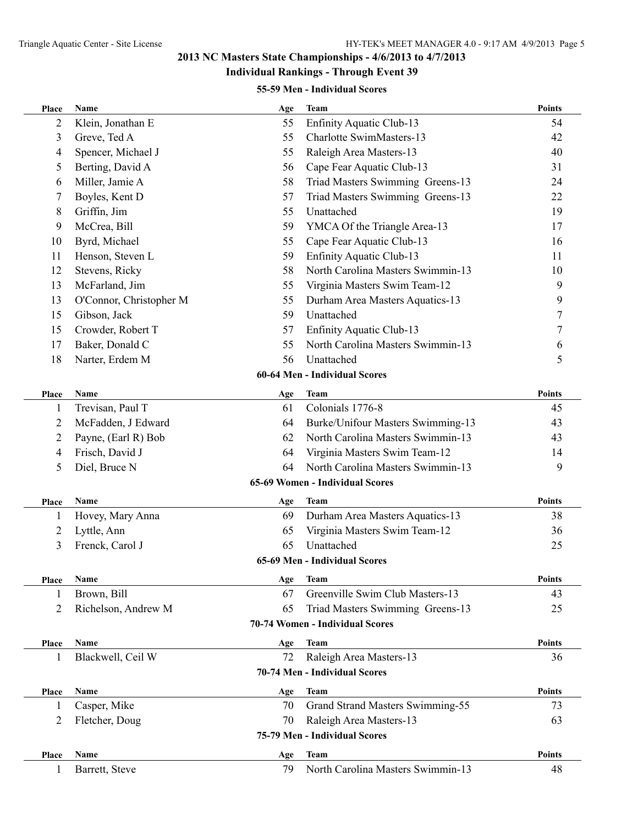#### **Individual Rankings - Through Event 39**

#### **55-59 Men - Individual Scores**

| Place        | Name                    | Age | <b>Team</b>                       | <b>Points</b> |
|--------------|-------------------------|-----|-----------------------------------|---------------|
| 2            | Klein, Jonathan E       | 55  | Enfinity Aquatic Club-13          | 54            |
| 3            | Greve, Ted A            | 55  | Charlotte SwimMasters-13          | 42            |
| 4            | Spencer, Michael J      | 55  | Raleigh Area Masters-13           | 40            |
| 5            | Berting, David A        | 56  | Cape Fear Aquatic Club-13         | 31            |
| 6            | Miller, Jamie A         | 58  | Triad Masters Swimming Greens-13  | 24            |
| 7            | Boyles, Kent D          | 57  | Triad Masters Swimming Greens-13  | 22            |
| 8            | Griffin, Jim            | 55  | Unattached                        | 19            |
| 9            | McCrea, Bill            | 59  | YMCA Of the Triangle Area-13      | 17            |
| 10           | Byrd, Michael           | 55  | Cape Fear Aquatic Club-13         | 16            |
| 11           | Henson, Steven L        | 59  | Enfinity Aquatic Club-13          | 11            |
| 12           | Stevens, Ricky          | 58  | North Carolina Masters Swimmin-13 | 10            |
| 13           | McFarland, Jim          | 55  | Virginia Masters Swim Team-12     | 9             |
| 13           | O'Connor, Christopher M | 55  | Durham Area Masters Aquatics-13   | 9             |
| 15           | Gibson, Jack            | 59  | Unattached                        | 7             |
| 15           | Crowder, Robert T       | 57  | Enfinity Aquatic Club-13          | 7             |
| 17           | Baker, Donald C         | 55  | North Carolina Masters Swimmin-13 | 6             |
| 18           | Narter, Erdem M         | 56  | Unattached                        | 5             |
|              |                         |     | 60-64 Men - Individual Scores     |               |
| Place        | Name                    | Age | Team                              | <b>Points</b> |
| 1            | Trevisan, Paul T        | 61  | Colonials 1776-8                  | 45            |
| 2            | McFadden, J Edward      | 64  | Burke/Unifour Masters Swimming-13 | 43            |
| 2            | Payne, (Earl R) Bob     | 62  | North Carolina Masters Swimmin-13 | 43            |
| 4            | Frisch, David J         | 64  | Virginia Masters Swim Team-12     | 14            |
| 5            | Diel, Bruce N           | 64  | North Carolina Masters Swimmin-13 | 9             |
|              |                         |     | 65-69 Women - Individual Scores   |               |
| Place        | Name                    | Age | Team                              | <b>Points</b> |
| 1            | Hovey, Mary Anna        | 69  | Durham Area Masters Aquatics-13   | 38            |
| 2            | Lyttle, Ann             | 65  | Virginia Masters Swim Team-12     | 36            |
| 3            | Frenck, Carol J         | 65  | Unattached                        | 25            |
|              |                         |     | 65-69 Men - Individual Scores     |               |
|              |                         |     |                                   |               |
| Place        | Name                    | Age | Team                              | <b>Points</b> |
| 1            | Brown, Bill             | 67  | Greenville Swim Club Masters-13   | 43            |
| 2            | Richelson, Andrew M     | 65  | Triad Masters Swimming Greens-13  | 25            |
|              |                         |     | 70-74 Women - Individual Scores   |               |
| <b>Place</b> | Name                    | Age | <b>Team</b>                       | <b>Points</b> |
| 1            | Blackwell, Ceil W       | 72  | Raleigh Area Masters-13           | 36            |
|              |                         |     | 70-74 Men - Individual Scores     |               |
| <b>Place</b> | Name                    | Age | Team                              | <b>Points</b> |
| 1            | Casper, Mike            | 70  | Grand Strand Masters Swimming-55  | 73            |
| 2            | Fletcher, Doug          | 70  | Raleigh Area Masters-13           | 63            |
|              |                         |     | 75-79 Men - Individual Scores     |               |
| <b>Place</b> | Name                    | Age | Team                              | Points        |
| $\mathbf{1}$ | Barrett, Steve          | 79  | North Carolina Masters Swimmin-13 | 48            |
|              |                         |     |                                   |               |